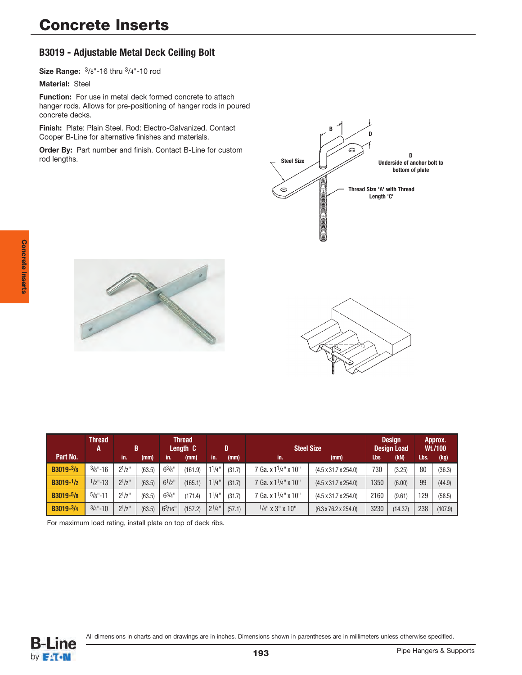# **B3019 - Adjustable Metal Deck Ceiling Bolt**

**Size Range:** 3/8"-16 thru 3/4"-10 rod

**Material:** Steel

**Function:** For use in metal deck formed concrete to attach hanger rods. Allows for pre-positioning of hanger rods in poured concrete decks.

**Finish:** Plate: Plain Steel. Rod: Electro-Galvanized. Contact Cooper B-Line for alternative finishes and materials.

**Order By:** Part number and finish. Contact B-Line for custom rod lengths.







|                        | <b>Thread</b><br>A |             | B      |             | <b>Thread</b><br>Length C |             | <b>Steel Size</b><br>D |                                  | <b>Design</b><br><b>Design Load</b> |      | Approx.<br>Wt./100 |      |         |
|------------------------|--------------------|-------------|--------|-------------|---------------------------|-------------|------------------------|----------------------------------|-------------------------------------|------|--------------------|------|---------|
| Part No.               |                    | lin.        | (mm)   | lin.        | (mm)                      | in.         | (mm)                   | $\mathsf{in}$ .                  | (mm)                                | Lbs  | (KN)               | Lbs. | (kg)    |
| B3019-3/8              | $\frac{3}{8}$ "-16 | $2^{1/2}$   | (63.5) | $6^{3}/8$ " | (161.9)                   | $1^{1}/4$ " | (31.7)                 | 7 Ga. x 1 <sup>1</sup> /4" x 10" | $(4.5 \times 31.7 \times 254.0)$    | 730  | (3.25)             | 80   | (36.3)  |
| $B3019-1/2$            | $1/2$ "-13         | $2^{1}/2$ " | (63.5) | $6^{1}/2$ " | (165.1)                   | $1^{1}/4$ " | (31.7)                 | 7 Ga. x 1 <sup>1</sup> /4" x 10" | $(4.5 \times 31.7 \times 254.0)$    | 1350 | (6.00)             | 99   | (44.9)  |
| B3019- <sup>5</sup> /8 | $5/8" - 11$        | $2^{1/2}$   | (63.5) | $6^{3}/4$ " | (171.4)                   | $1^{1}/4$ " | (31.7)                 | 7 Ga. x 1 <sup>1</sup> /4" x 10" | $(4.5 \times 31.7 \times 254.0)$    | 2160 | (9.61)             | 129  | (58.5)  |
| B3019-3/4              | $3/4$ "-10         | $2^{1}/2$ " | (63.5) | 63/16"      | (157.2)                   | $2^{1/4}$   | (57.1)                 | $1/4$ " x 3" x 10"               | $(6.3 \times 76.2 \times 254.0)$    | 3230 | (14.37)            | 238  | (107.9) |

For maximum load rating, install plate on top of deck ribs.

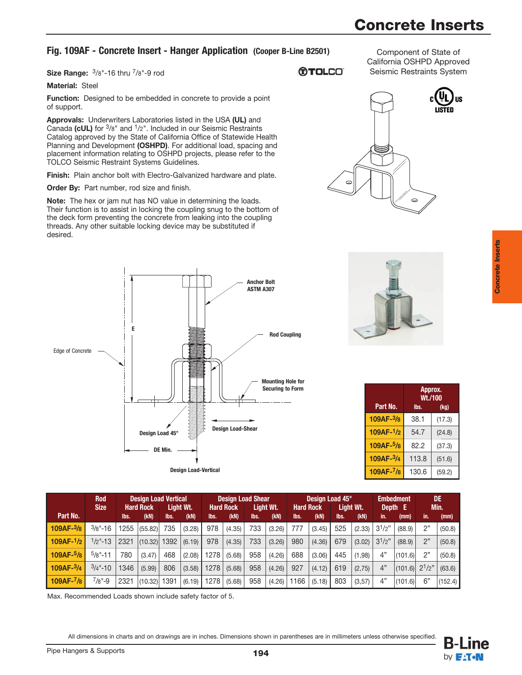# **Concrete Inserts**

## **Fig. 109AF - Concrete Insert - Hanger Application (Cooper B-Line B2501)**

**Size Range:** 3/8"-16 thru 7/8"-9 rod

### **®TOLCO**

Component of State of California OSHPD Approved Seismic Restraints System

**Function:** Designed to be embedded in concrete to provide a point of support.

**Approvals:** Underwriters Laboratories listed in the USA **(UL)** and Canada **(cUL)** for 3/8" and 1/2". Included in our Seismic Restraints Catalog approved by the State of California Office of Statewide Health Planning and Development **(OSHPD)**. For additional load, spacing and placement information relating to OSHPD projects, please refer to the TOLCO Seismic Restraint Systems Guidelines.

**Finish:** Plain anchor bolt with Electro-Galvanized hardware and plate.

**Order By:** Part number, rod size and finish.

**Note:** The hex or jam nut has NO value in determining the loads. Their function is to assist in locking the coupling snug to the bottom of the deck form preventing the concrete from leaking into the coupling threads. Any other suitable locking device may be substituted if desired.





| Part No.    | Approx.<br>Wt./100<br>lbs.<br>(kg) |        |  |  |  |
|-------------|------------------------------------|--------|--|--|--|
| 109AF-3/8   | 38.1                               | (17.3) |  |  |  |
| $109AF-1/2$ | 54.7                               | (24.8) |  |  |  |
| 109AF-5/8   | 82.2                               | (37.3) |  |  |  |
| 109AF-3/4   | 113.8                              | (51.6) |  |  |  |
| 109AF-7/8   | 130.6                              | (59.2) |  |  |  |

|             | <b>Rod</b><br><b>Size</b> |      | <b>Design Load Vertical</b><br><b>Hard Rock</b> |      | Light Wt. |      | Design Load Shear<br><b>Hard Rock</b> |      | Light Wt. | <b>Hard Rock</b> | Design Load 45° | Light Wt. |                             | <b>Embedment</b><br>Depth E |                     | DE<br>Min. |         |
|-------------|---------------------------|------|-------------------------------------------------|------|-----------|------|---------------------------------------|------|-----------|------------------|-----------------|-----------|-----------------------------|-----------------------------|---------------------|------------|---------|
| Part No.    |                           | lbs. | (kN)                                            | lbs. | (KN)      | lbs. | (KN)                                  | lbs. | (KN)      | lbs.             | (KN)            | lbs.      | (KN)                        | in.                         | (mm)                | lin.       | (mm)    |
| 109AF-3/8   | $\frac{3}{8}$ "-16        | 1255 | (55.82)                                         | 735  | (3.28)    | 978  | (4.35)                                | 733  | (3.26)    | 777              | (3.45)          | 525       | (2.33)                      | $3^{1}/2"$                  | (88.9)              | 2"         | (50.8)  |
| $109AF-1/2$ | $1/2$ "-13                | 2321 | (10.32)                                         | 1392 | (6.19)    | 978  | (4.35)                                | 733  | (3.26)    | 980              | (4.36)          | 679       | $(3.02)$ 3 <sup>1</sup> /2" |                             | (88.9)              | 2"         | (50.8)  |
| $109AF-5/8$ | $5/8" - 11$               | 780  | (3.47)                                          | 468  | (2.08)    | 1278 | (5.68)                                | 958  | (4.26)    | 688              | (3.06)          | 445       | (1,98)                      | 4"                          | (101.6)             | 2"         | (50.8)  |
| $109AF-3/4$ | $3/4$ "-10                | 1346 | (5.99)                                          | 806  | (3.58)    | 1278 | (5.68)                                | 958  | (4.26)    | 927              | (4.12)          | 619       | (2,75)                      | 4"                          | $(101.6)$ $2^{1/2"$ |            | (63.6)  |
| 109AF-7/8   | $7/8" - 9$                | 2321 | (10.32)                                         | 1391 | (6.19)    | 1278 | (5.68)                                | 958  | (4.26)    | 1166             | (5.18)          | 803       | (3,57)                      | 4"                          | (101.6)             | 6"         | (152.4) |

Max. Recommended Loads shown include safety factor of 5.

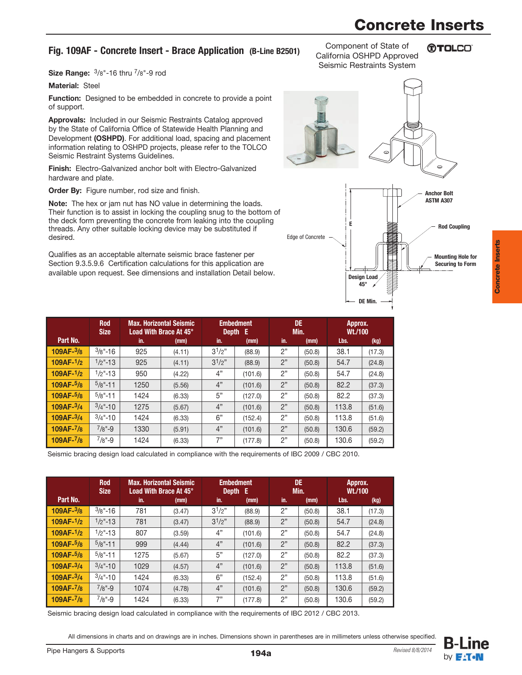# **Concrete Inserts**

## **Fig. 109AF - Concrete Insert - Brace Application (B-Line B2501)**

**Size Range:**  $\frac{3}{8}$ "-16 thru  $\frac{7}{8}$ "-9 rod

#### **Material:** Steel

**Function:** Designed to be embedded in concrete to provide a point of support.

**Approvals:** Included in our Seismic Restraints Catalog approved by the State of California Office of Statewide Health Planning and Development **(OSHPD)**. For additional load, spacing and placement information relating to OSHPD projects, please refer to the TOLCO Seismic Restraint Systems Guidelines.

**Finish:** Electro-Galvanized anchor bolt with Electro-Galvanized hardware and plate.

**Order By:** Figure number, rod size and finish.

**Note:** The hex or jam nut has NO value in determining the loads. Their function is to assist in locking the coupling snug to the bottom of the deck form preventing the concrete from leaking into the coupling threads. Any other suitable locking device may be substituted if desired.

Qualifies as an acceptable alternate seismic brace fastener per Section 9.3.5.9.6 Certification calculations for this application are available upon request. See dimensions and installation Detail below.

|                        | <b>Rod</b><br><b>Size</b> |      | <b>Max. Horizontal Seismic</b><br>Load With Brace At 45° |           | <b>Embedment</b><br>Depth E |     | DE.<br>Min. | Approx.<br>Wt./100 |        |
|------------------------|---------------------------|------|----------------------------------------------------------|-----------|-----------------------------|-----|-------------|--------------------|--------|
| Part No.               |                           | in.  | (mm)                                                     | in.       | (mm)                        | in. | (mm)        | Lbs.               | (kg)   |
| $109AF-3/8$            | $3/8" - 16$               | 925  | (4.11)                                                   | $3^{1/2"$ | (88.9)                      | 2"  | (50.8)      | 38.1               | (17.3) |
| 109AF- <sup>1</sup> /2 | $1/2$ "-13                | 925  | (4.11)                                                   | $3^{1/2"$ | (88.9)                      | 2"  | (50.8)      | 54.7               | (24.8) |
| 109AF- <sup>1</sup> /2 | $1/2$ "-13                | 950  | (4.22)                                                   | 4"        | (101.6)                     | 2"  | (50.8)      | 54.7               | (24.8) |
| $109AF-5/8$            | $5/8" - 11$               | 1250 | (5.56)                                                   | 4"        | (101.6)                     | 2"  | (50.8)      | 82.2               | (37.3) |
| $109AF-5/8$            | $5/8" - 11$               | 1424 | (6.33)                                                   | 5"        | (127.0)                     | 2"  | (50.8)      | 82.2               | (37.3) |
| 109AF- <sup>3</sup> /4 | $3/4$ "-10                | 1275 | (5.67)                                                   | 4"        | (101.6)                     | 2"  | (50.8)      | 113.8              | (51.6) |
| 109AF- <sup>3</sup> /4 | $3/4$ "-10                | 1424 | (6.33)                                                   | 6"        | (152.4)                     | 2"  | (50.8)      | 113.8              | (51.6) |
| $109AF-7/8$            | $7/8" - 9$                | 1330 | (5.91)                                                   | 4"        | (101.6)                     | 2"  | (50.8)      | 130.6              | (59.2) |
| 109AF- <sup>7</sup> /8 | $7/8" - 9$                | 1424 | (6.33)                                                   | 7"        | (177.8)                     | 2"  | (50.8)      | 130.6              | (59.2) |

Seismic bracing design load calculated in compliance with the requirements of IBC 2009 / CBC 2010.

|             | <b>Rod</b><br><b>Size</b> | <b>Max. Horizontal Seismic</b><br>Load With Brace At 45° |        |            | <b>Embedment</b><br>Depth E |     | <b>DE</b><br>Min. |       | Approx.<br>Wt./100 |  |
|-------------|---------------------------|----------------------------------------------------------|--------|------------|-----------------------------|-----|-------------------|-------|--------------------|--|
| Part No.    |                           | in.                                                      | (mm)   | in.        | (mm)                        | in. | (mm)              | Lbs.  | (kg)               |  |
| $109AF-3/8$ | $3/8" - 16$               | 781                                                      | (3.47) | $3^{1/2"}$ | (88.9)                      | 2"  | (50.8)            | 38.1  | (17.3)             |  |
| $109AF-1/2$ | $1/2$ "-13                | 781                                                      | (3.47) | $3^{1/2"$  | (88.9)                      | 2"  | (50.8)            | 54.7  | (24.8)             |  |
| $109AF-1/2$ | $1/2$ "-13                | 807                                                      | (3.59) | 4"         | (101.6)                     | 2"  | (50.8)            | 54.7  | (24.8)             |  |
| $109AF-5/8$ | $5/8" - 11$               | 999                                                      | (4.44) | 4"         | (101.6)                     | 2"  | (50.8)            | 82.2  | (37.3)             |  |
| $109AF-5/8$ | $5/8" - 11$               | 1275                                                     | (5.67) | 5"         | (127.0)                     | 2"  | (50.8)            | 82.2  | (37.3)             |  |
| $109AF-3/4$ | $3/4$ "-10                | 1029                                                     | (4.57) | 4"         | (101.6)                     | 2"  | (50.8)            | 113.8 | (51.6)             |  |
| $109AF-3/4$ | $3/4$ "-10                | 1424                                                     | (6.33) | 6"         | (152.4)                     | 2"  | (50.8)            | 113.8 | (51.6)             |  |
| $109AF-7/8$ | $7/8" - 9$                | 1074                                                     | (4.78) | 4"         | (101.6)                     | 2"  | (50.8)            | 130.6 | (59.2)             |  |
| $109AF-7/8$ | $7/8" - 9$                | 1424                                                     | (6.33) | 7"         | (177.8)                     | 2"  | (50.8)            | 130.6 | (59.2)             |  |

Seismic bracing design load calculated in compliance with the requirements of IBC 2012 / CBC 2013.

All dimensions in charts and on drawings are in inches. Dimensions shown in parentheses are in millimeters unless otherwise specified.



Component of State of California OSHPD Approved Seismic Restraints System

**OTOLCO** 

**Concrete Inserts**

**Concrete Inserts** 

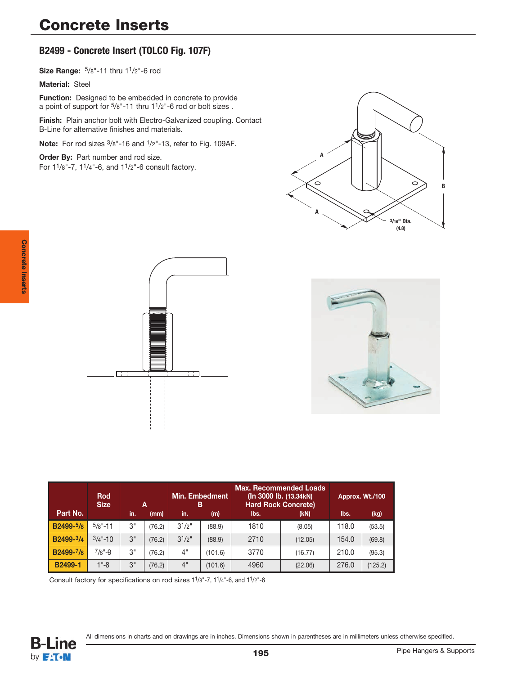# **B2499 - Concrete Insert (TOLCO Fig. 107F)**

**Size Range:** 5/8"-11 thru 11/2"-6 rod

**Material:** Steel

**Function:** Designed to be embedded in concrete to provide a point of support for 5/8"-11 thru 11/2"-6 rod or bolt sizes .

**Finish:** Plain anchor bolt with Electro-Galvanized coupling. Contact B-Line for alternative finishes and materials.

**Note:** For rod sizes 3/8"-16 and 1/2"-13, refer to Fig. 109AF.

**Order By:** Part number and rod size. For 11/8"-7, 11/4"-6, and 11/2"-6 consult factory.







|           | <b>Rod</b><br><b>Size</b> |     | Α      | <b>Min. Embedment</b><br>в |         | <b>Max. Recommended Loads</b><br>(In 3000 lb. (13.34kN)<br><b>Hard Rock Concrete)</b> | Approx. Wt./100 |       |         |
|-----------|---------------------------|-----|--------|----------------------------|---------|---------------------------------------------------------------------------------------|-----------------|-------|---------|
| Part No.  |                           | in. | (mm)   | in.                        | (m)     | lbs.                                                                                  | (kN)            | lbs.  | (kg)    |
| B2499-5/8 | $5/8" - 11$               | 3"  | (76.2) | $3^{1}/2$ "                | (88.9)  | 1810                                                                                  | (8.05)          | 118.0 | (53.5)  |
| B2499-3/4 | $3/4$ "-10                | 3"  | (76.2) | $3^{1}/2$ "                | (88.9)  | 2710                                                                                  | (12.05)         | 154.0 | (69.8)  |
| B2499-7/8 | $7/8" - 9$                | 3"  | (76.2) | 4"                         | (101.6) | 3770                                                                                  | (16.77)         | 210.0 | (95.3)  |
| B2499-1   | $1 - 8$                   | 3"  | (76.2) | 4"                         | (101.6) | 4960                                                                                  | (22.06)         | 276.0 | (125.2) |

Consult factory for specifications on rod sizes 11/8"-7, 11/4"-6, and 11/2"-6

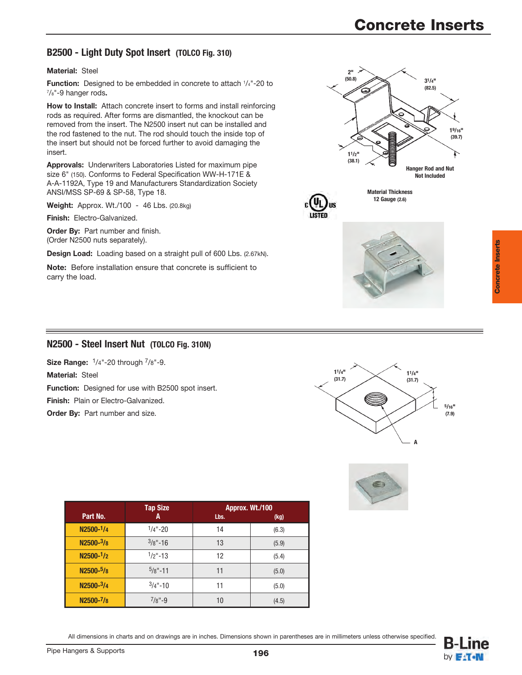## **B2500 - Light Duty Spot Insert (TOLCO Fig. 310)**

#### **Material:** Steel

**Function:** Designed to be embedded in concrete to attach 1/4"-20 to 7/8"-9 hanger rods**.**

**How to Install:** Attach concrete insert to forms and install reinforcing rods as required. After forms are dismantled, the knockout can be removed from the insert. The N2500 insert nut can be installed and the rod fastened to the nut. The rod should touch the inside top of the insert but should not be forced further to avoid damaging the insert.

**Approvals:** Underwriters Laboratories Listed for maximum pipe size 6" (150). Conforms to Federal Specification WW-H-171E & A-A-1192A, Type 19 and Manufacturers Standardization Society ANSI/MSS SP-69 & SP-58, Type 18.

**Weight:** Approx. Wt./100 - 46 Lbs. (20.8kg)

**Finish:** Electro-Galvanized.

**Order By: Part number and finish.** (Order N2500 nuts separately).

**Design Load:** Loading based on a straight pull of 600 Lbs. (2.67kN).

**Note:** Before installation ensure that concrete is sufficient to carry the load.





## **N2500 - Steel Insert Nut (TOLCO Fig. 310N)**

**Size Range:** 1/4"-20 through 7/8"-9.

**Material:** Steel

**Function:** Designed for use with B2500 spot insert.

**Finish:** Plain or Electro-Galvanized.

**Order By:** Part number and size.





|                       | <b>Tap Size</b> | Approx. Wt./100 |       |
|-----------------------|-----------------|-----------------|-------|
| Part No.              | A               | Lbs.            | (kg)  |
| N2500-1/4             | $1/4" - 20$     | 14              | (6.3) |
| $N2500 - \frac{3}{8}$ | $3/8" - 16$     | 13              | (5.9) |
| $N2500 - 1/2$         | $1/2$ "-13      | 12              | (5.4) |
| N2500-5/8             | $5/8" - 11$     | 11              | (5.0) |
| N2500-3/4             | $3/4$ "-10      | 11              | (5.0) |
| N2500-7/8             | $7/8" - 9$      | 10              | (4.5) |

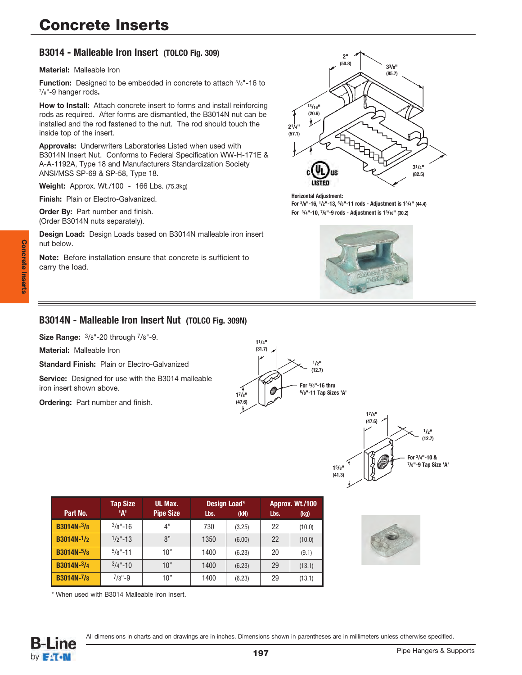## **B3014 - Malleable Iron Insert (TOLCO Fig. 309)**

**Material:** Malleable Iron

**Function:** Designed to be embedded in concrete to attach  $\frac{3}{8}$ "-16 to 7/8"-9 hanger rods**.**

**How to Install:** Attach concrete insert to forms and install reinforcing rods as required. After forms are dismantled, the B3014N nut can be installed and the rod fastened to the nut. The rod should touch the inside top of the insert.

**Approvals:** Underwriters Laboratories Listed when used with B3014N Insert Nut. Conforms to Federal Specification WW-H-171E & A-A-1192A, Type 18 and Manufacturers Standardization Society ANSI/MSS SP-69 & SP-58, Type 18.

**Weight:** Approx. Wt./100 - 166 Lbs. (75.3kg)

**Finish:** Plain or Electro-Galvanized.

**Order By:** Part number and finish. (Order B3014N nuts separately).

**Design Load:** Design Loads based on B3014N malleable iron insert nut below.

**Note:** Before installation ensure that concrete is sufficient to carry the load.



**Horizontal Adjustment: For 3/8"-16, 1/2"-13, 5/8"-11 rods - Adjustment is 13/4" (44.4) For 3/4"-10, 7/8"-9 rods - Adjustment is 13/16" (30.2)**



### **B3014N - Malleable Iron Insert Nut (TOLCO Fig. 309N)**

**Size Range:** 3/8"-20 through 7/8"-9.

**Material:** Malleable Iron

**Standard Finish:** Plain or Electro-Galvanized

**Service:** Designed for use with the B3014 malleable iron insert shown above.

**Ordering:** Part number and finish.





| Part No.          | <b>Tap Size</b><br>'А' | UL Max.<br><b>Pipe Size</b> | Lbs. | Design Load*<br>(kN) | Lbs. | Approx. Wt./100<br>(kg) |
|-------------------|------------------------|-----------------------------|------|----------------------|------|-------------------------|
| <b>B3014N-3/8</b> | $3/8" - 16$            | 4"                          | 730  | (3.25)               | 22   | (10.0)                  |
| $B3014N-1/2$      | $1/2$ "-13             | 8"                          | 1350 | (6.00)               | 22   | (10.0)                  |
| <b>B3014N-5/8</b> | $5/8" - 11$            | 10"                         | 1400 | (6.23)               | 20   | (9.1)                   |
| B3014N-3/4        | $3/4" - 10$            | 10"                         | 1400 | (6.23)               | 29   | (13.1)                  |
| <b>B3014N-7/8</b> | $7/8" - 9$             | 10"                         | 1400 | (6.23)               | 29   | (13.1)                  |

\* When used with B3014 Malleable Iron Insert.

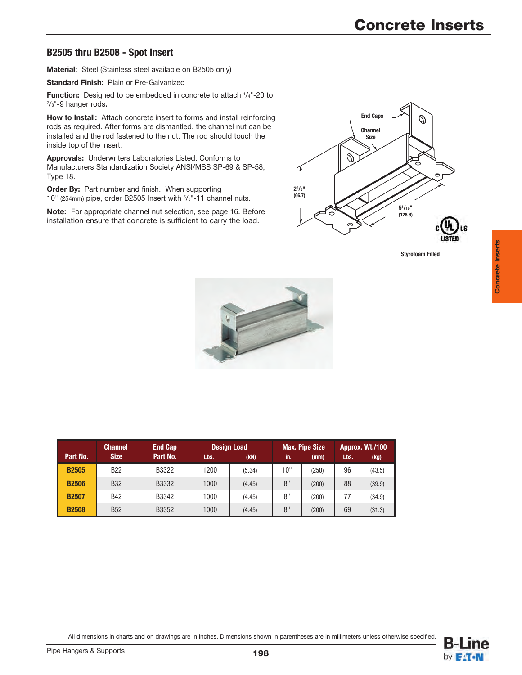## **B2505 thru B2508 - Spot Insert**

**Material:** Steel (Stainless steel available on B2505 only)

**Standard Finish:** Plain or Pre-Galvanized

Function: Designed to be embedded in concrete to attach 1/4"-20 to 7/8"-9 hanger rods**.**

**How to Install:** Attach concrete insert to forms and install reinforcing rods as required. After forms are dismantled, the channel nut can be installed and the rod fastened to the nut. The rod should touch the inside top of the insert.

**Approvals:** Underwriters Laboratories Listed. Conforms to Manufacturers Standardization Society ANSI/MSS SP-69 & SP-58, Type 18.

**Order By:** Part number and finish. When supporting 10" (254mm) pipe, order B2505 Insert with 5/8"-11 channel nuts.

**Note:** For appropriate channel nut selection, see page 16. Before installation ensure that concrete is sufficient to carry the load.



**Styrofoam Filled**

**Concrete Inserts**

**Concrete Inserts** 



| <b>Channel</b> |             | <b>End Cap</b> |      | <b>Design Load</b> |     | <b>Max. Pipe Size</b> | Approx. Wt./100 |        |  |
|----------------|-------------|----------------|------|--------------------|-----|-----------------------|-----------------|--------|--|
| Part No.       | <b>Size</b> | Part No.       | Lbs. | (KN)               | in. | (mm)                  | Lbs.            | (kg)   |  |
| <b>B2505</b>   | <b>B22</b>  | B3322          | 1200 | (5.34)             | 10" | (250)                 | 96              | (43.5) |  |
| <b>B2506</b>   | <b>B32</b>  | B3332          | 1000 | (4.45)             | 8"  | (200)                 | 88              | (39.9) |  |
| <b>B2507</b>   | <b>B42</b>  | B3342          | 1000 | (4.45)             | 8"  | (200)                 | 77              | (34.9) |  |
| <b>B2508</b>   | <b>B52</b>  | B3352          | 1000 | (4.45)             | 8"  | (200)                 | 69              | (31.3) |  |